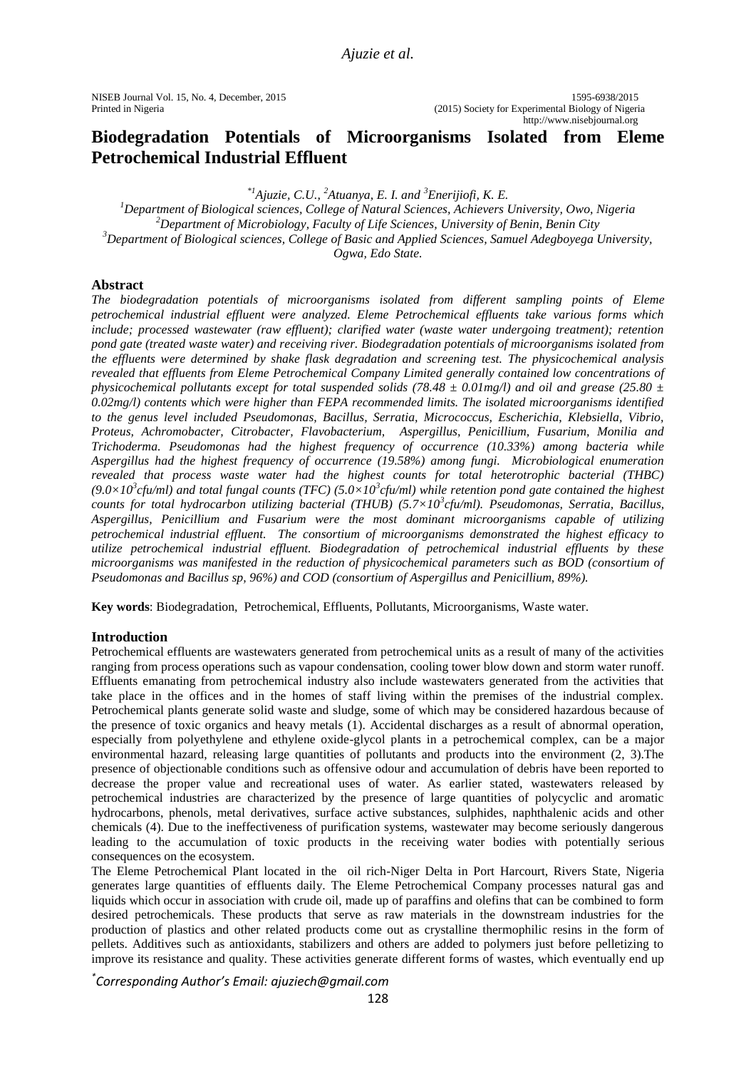NISEB Journal Vol. 15, No. 4, December, 2015 1595-6938/2015 Printed in Nigeria (2015) Society for Experimental Biology of Nigeria http://www.nisebjournal.org

# **Biodegradation Potentials of Microorganisms Isolated from Eleme Petrochemical Industrial Effluent**

*\*1Ajuzie, C.U., <sup>2</sup>Atuanya, E. I. and <sup>3</sup>Enerijiofi, K. E.*

*Department of Biological sciences, College of Natural Sciences, Achievers University, Owo, Nigeria Department of Microbiology, Faculty of Life Sciences, University of Benin, Benin City Department of Biological sciences, College of Basic and Applied Sciences, Samuel Adegboyega University, Ogwa, Edo State.*

### **Abstract**

*The biodegradation potentials of microorganisms isolated from different sampling points of Eleme petrochemical industrial effluent were analyzed. Eleme Petrochemical effluents take various forms which include; processed wastewater (raw effluent); clarified water (waste water undergoing treatment); retention pond gate (treated waste water) and receiving river. Biodegradation potentials of microorganisms isolated from the effluents were determined by shake flask degradation and screening test. The physicochemical analysis revealed that effluents from Eleme Petrochemical Company Limited generally contained low concentrations of physicochemical pollutants except for total suspended solids (78.48 ± 0.01mg/l) and oil and grease (25.80 ± 0.02mg/l) contents which were higher than FEPA recommended limits. The isolated microorganisms identified to the genus level included Pseudomonas, Bacillus, Serratia, Micrococcus, Escherichia, Klebsiella, Vibrio, Proteus, Achromobacter, Citrobacter, Flavobacterium, Aspergillus, Penicillium, Fusarium, Monilia and Trichoderma. Pseudomonas had the highest frequency of occurrence (10.33%) among bacteria while Aspergillus had the highest frequency of occurrence (19.58%) among fungi. Microbiological enumeration revealed that process waste water had the highest counts for total heterotrophic bacterial (THBC)*   $(9.0 \times 10^3$  cfu/ml) and total fungal counts (TFC)  $(5.0 \times 10^3$  cfu/ml) while retention pond gate contained the highest *counts for total hydrocarbon utilizing bacterial (THUB) (5.7×10<sup>3</sup> cfu/ml). Pseudomonas, Serratia, Bacillus, Aspergillus, Penicillium and Fusarium were the most dominant microorganisms capable of utilizing petrochemical industrial effluent. The consortium of microorganisms demonstrated the highest efficacy to utilize petrochemical industrial effluent. Biodegradation of petrochemical industrial effluents by these microorganisms was manifested in the reduction of physicochemical parameters such as BOD (consortium of Pseudomonas and Bacillus sp, 96%) and COD (consortium of Aspergillus and Penicillium, 89%).* 

**Key words**: Biodegradation, Petrochemical, Effluents, Pollutants, Microorganisms, Waste water.

### **Introduction**

Petrochemical effluents are wastewaters generated from petrochemical units as a result of many of the activities ranging from process operations such as vapour condensation, cooling tower blow down and storm water runoff. Effluents emanating from petrochemical industry also include wastewaters generated from the activities that take place in the offices and in the homes of staff living within the premises of the industrial complex. Petrochemical plants generate solid waste and sludge, some of which may be considered hazardous because of the presence of toxic organics and heavy metals (1). Accidental discharges as a result of abnormal operation, especially from polyethylene and ethylene oxide-glycol plants in a petrochemical complex, can be a major environmental hazard, releasing large quantities of pollutants and products into the environment (2, 3). The presence of objectionable conditions such as offensive odour and accumulation of debris have been reported to decrease the proper value and recreational uses of water. As earlier stated, wastewaters released by petrochemical industries are characterized by the presence of large quantities of polycyclic and aromatic hydrocarbons, phenols, metal derivatives, surface active substances, sulphides, naphthalenic acids and other chemicals (4). Due to the ineffectiveness of purification systems, wastewater may become seriously dangerous leading to the accumulation of toxic products in the receiving water bodies with potentially serious consequences on the ecosystem.

The Eleme Petrochemical Plant located in the oil rich-Niger Delta in Port Harcourt, Rivers State, Nigeria generates large quantities of effluents daily. The Eleme Petrochemical Company processes natural gas and liquids which occur in association with crude oil, made up of paraffins and olefins that can be combined to form desired petrochemicals. These products that serve as raw materials in the downstream industries for the production of plastics and other related products come out as crystalline thermophilic resins in the form of pellets. Additives such as antioxidants, stabilizers and others are added to polymers just before pelletizing to improve its resistance and quality. These activities generate different forms of wastes, which eventually end up

*\* Corresponding Author's Email: ajuziech@gmail.com*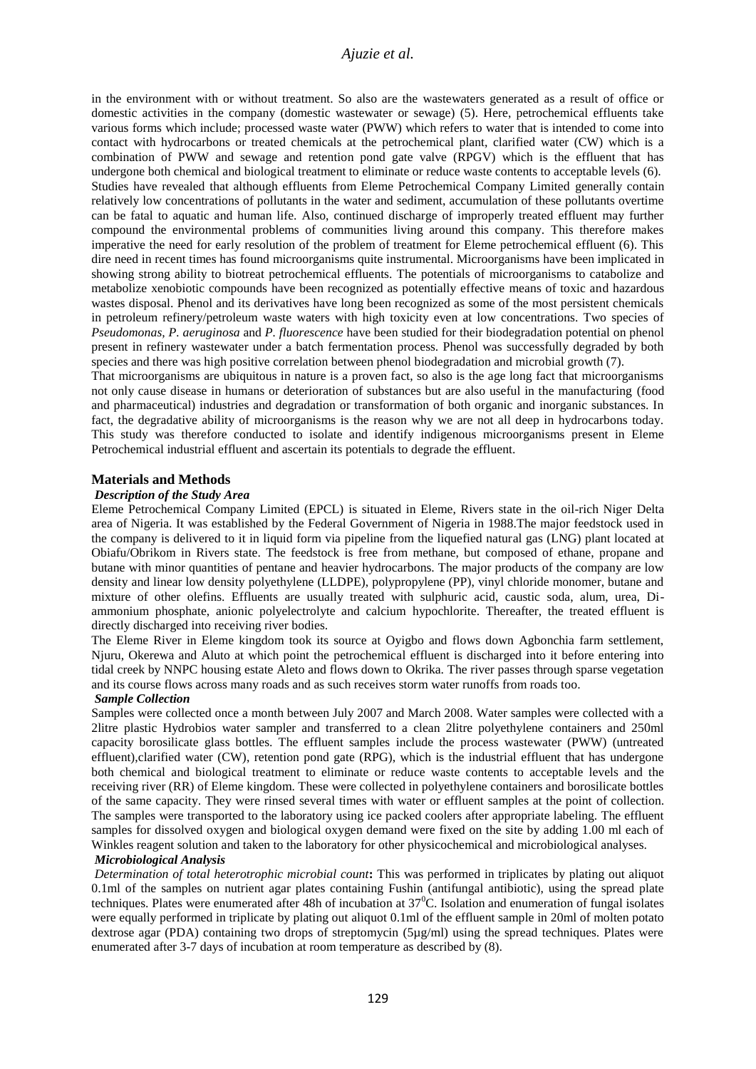in the environment with or without treatment. So also are the wastewaters generated as a result of office or domestic activities in the company (domestic wastewater or sewage) (5). Here, petrochemical effluents take various forms which include; processed waste water (PWW) which refers to water that is intended to come into contact with hydrocarbons or treated chemicals at the petrochemical plant, clarified water (CW) which is a combination of PWW and sewage and retention pond gate valve (RPGV) which is the effluent that has undergone both chemical and biological treatment to eliminate or reduce waste contents to acceptable levels (6). Studies have revealed that although effluents from Eleme Petrochemical Company Limited generally contain relatively low concentrations of pollutants in the water and sediment, accumulation of these pollutants overtime can be fatal to aquatic and human life. Also, continued discharge of improperly treated effluent may further compound the environmental problems of communities living around this company. This therefore makes imperative the need for early resolution of the problem of treatment for Eleme petrochemical effluent (6). This dire need in recent times has found microorganisms quite instrumental. Microorganisms have been implicated in showing strong ability to biotreat petrochemical effluents. The potentials of microorganisms to catabolize and metabolize xenobiotic compounds have been recognized as potentially effective means of toxic and hazardous wastes disposal. Phenol and its derivatives have long been recognized as some of the most persistent chemicals in petroleum refinery/petroleum waste waters with high toxicity even at low concentrations. Two species of *Pseudomonas, P. aeruginosa* and *P. fluorescence* have been studied for their biodegradation potential on phenol present in refinery wastewater under a batch fermentation process. Phenol was successfully degraded by both species and there was high positive correlation between phenol biodegradation and microbial growth (7).

That microorganisms are ubiquitous in nature is a proven fact, so also is the age long fact that microorganisms not only cause disease in humans or deterioration of substances but are also useful in the manufacturing (food and pharmaceutical) industries and degradation or transformation of both organic and inorganic substances. In fact, the degradative ability of microorganisms is the reason why we are not all deep in hydrocarbons today. This study was therefore conducted to isolate and identify indigenous microorganisms present in Eleme Petrochemical industrial effluent and ascertain its potentials to degrade the effluent.

#### **Materials and Methods**

#### *Description of the Study Area*

Eleme Petrochemical Company Limited (EPCL) is situated in Eleme, Rivers state in the oil-rich Niger Delta area of Nigeria. It was established by the Federal Government of Nigeria in 1988.The major feedstock used in the company is delivered to it in liquid form via pipeline from the liquefied natural gas (LNG) plant located at Obiafu/Obrikom in Rivers state. The feedstock is free from methane, but composed of ethane, propane and butane with minor quantities of pentane and heavier hydrocarbons. The major products of the company are low density and linear low density polyethylene (LLDPE), polypropylene (PP), vinyl chloride monomer, butane and mixture of other olefins. Effluents are usually treated with sulphuric acid, caustic soda, alum, urea, Diammonium phosphate, anionic polyelectrolyte and calcium hypochlorite. Thereafter, the treated effluent is directly discharged into receiving river bodies.

The Eleme River in Eleme kingdom took its source at Oyigbo and flows down Agbonchia farm settlement, Njuru, Okerewa and Aluto at which point the petrochemical effluent is discharged into it before entering into tidal creek by NNPC housing estate Aleto and flows down to Okrika. The river passes through sparse vegetation and its course flows across many roads and as such receives storm water runoffs from roads too.

#### *Sample Collection*

Samples were collected once a month between July 2007 and March 2008. Water samples were collected with a 2litre plastic Hydrobios water sampler and transferred to a clean 2litre polyethylene containers and 250ml capacity borosilicate glass bottles. The effluent samples include the process wastewater (PWW) (untreated effluent),clarified water (CW), retention pond gate (RPG), which is the industrial effluent that has undergone both chemical and biological treatment to eliminate or reduce waste contents to acceptable levels and the receiving river (RR) of Eleme kingdom. These were collected in polyethylene containers and borosilicate bottles of the same capacity. They were rinsed several times with water or effluent samples at the point of collection. The samples were transported to the laboratory using ice packed coolers after appropriate labeling. The effluent samples for dissolved oxygen and biological oxygen demand were fixed on the site by adding 1.00 ml each of Winkles reagent solution and taken to the laboratory for other physicochemical and microbiological analyses.

#### *Microbiological Analysis*

*Determination of total heterotrophic microbial count***:** This was performed in triplicates by plating out aliquot 0.1ml of the samples on nutrient agar plates containing Fushin (antifungal antibiotic), using the spread plate techniques. Plates were enumerated after 48h of incubation at  $37^{\circ}$ C. Isolation and enumeration of fungal isolates were equally performed in triplicate by plating out aliquot 0.1ml of the effluent sample in 20ml of molten potato dextrose agar (PDA) containing two drops of streptomycin (5µg/ml) using the spread techniques. Plates were enumerated after 3-7 days of incubation at room temperature as described by (8).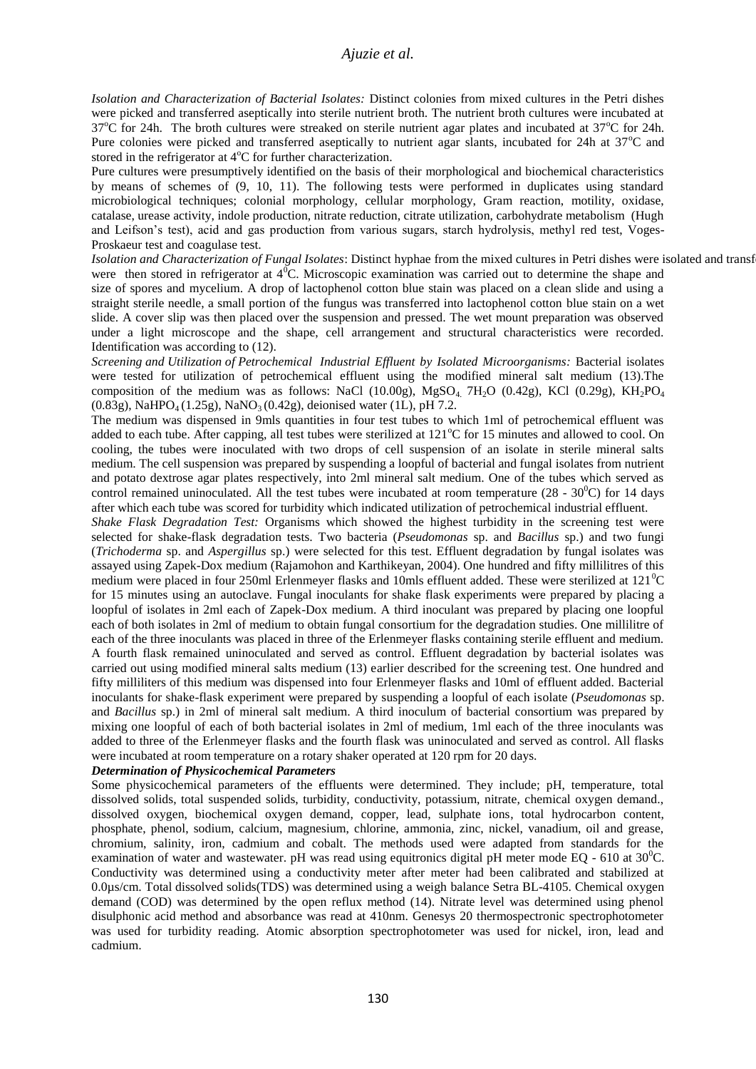*Isolation and Characterization of Bacterial Isolates:* Distinct colonies from mixed cultures in the Petri dishes were picked and transferred aseptically into sterile nutrient broth. The nutrient broth cultures were incubated at  $37^{\circ}$ C for 24h. The broth cultures were streaked on sterile nutrient agar plates and incubated at  $37^{\circ}$ C for 24h. Pure colonies were picked and transferred aseptically to nutrient agar slants, incubated for 24h at 37<sup>o</sup>C and stored in the refrigerator at  $4^{\circ}$ C for further characterization.

Pure cultures were presumptively identified on the basis of their morphological and biochemical characteristics by means of schemes of (9, 10, 11). The following tests were performed in duplicates using standard microbiological techniques; colonial morphology, cellular morphology, Gram reaction, motility, oxidase, catalase, urease activity, indole production, nitrate reduction, citrate utilization, carbohydrate metabolism (Hugh and Leifson's test), acid and gas production from various sugars, starch hydrolysis, methyl red test, Voges-Proskaeur test and coagulase test.

Isolation and Characterization of Fungal Isolates: Distinct hyphae from the mixed cultures in Petri dishes were isolated and transf were then stored in refrigerator at  $4^0$ C. Microscopic examination was carried out to determine the shape and size of spores and mycelium. A drop of lactophenol cotton blue stain was placed on a clean slide and using a straight sterile needle, a small portion of the fungus was transferred into lactophenol cotton blue stain on a wet slide. A cover slip was then placed over the suspension and pressed. The wet mount preparation was observed under a light microscope and the shape, cell arrangement and structural characteristics were recorded. Identification was according to (12).

*Screening and Utilization of Petrochemical Industrial Effluent by Isolated Microorganisms:* Bacterial isolates were tested for utilization of petrochemical effluent using the modified mineral salt medium (13).The composition of the medium was as follows: NaCl (10.00g), MgSO<sub>4</sub>, 7H<sub>2</sub>O (0.42g), KCl (0.29g), KH<sub>2</sub>PO<sub>4</sub>  $(0.83g)$ , NaHPO<sub>4</sub> (1.25g), NaNO<sub>3</sub> (0.42g), deionised water (1L), pH 7.2.

The medium was dispensed in 9mls quantities in four test tubes to which 1ml of petrochemical effluent was added to each tube. After capping, all test tubes were sterilized at  $121^{\circ}$ C for 15 minutes and allowed to cool. On cooling, the tubes were inoculated with two drops of cell suspension of an isolate in sterile mineral salts medium. The cell suspension was prepared by suspending a loopful of bacterial and fungal isolates from nutrient and potato dextrose agar plates respectively, into 2ml mineral salt medium. One of the tubes which served as control remained uninoculated. All the test tubes were incubated at room temperature  $(28 - 30^0C)$  for 14 days after which each tube was scored for turbidity which indicated utilization of petrochemical industrial effluent.

*Shake Flask Degradation Test:* Organisms which showed the highest turbidity in the screening test were selected for shake-flask degradation tests. Two bacteria (*Pseudomonas* sp. and *Bacillus* sp.) and two fungi (*Trichoderma* sp. and *Aspergillus* sp.) were selected for this test. Effluent degradation by fungal isolates was assayed using Zapek-Dox medium (Rajamohon and Karthikeyan, 2004). One hundred and fifty millilitres of this medium were placed in four 250ml Erlenmeyer flasks and 10mls effluent added. These were sterilized at  $121^{\circ}C$ for 15 minutes using an autoclave. Fungal inoculants for shake flask experiments were prepared by placing a loopful of isolates in 2ml each of Zapek-Dox medium. A third inoculant was prepared by placing one loopful each of both isolates in 2ml of medium to obtain fungal consortium for the degradation studies. One millilitre of each of the three inoculants was placed in three of the Erlenmeyer flasks containing sterile effluent and medium. A fourth flask remained uninoculated and served as control. Effluent degradation by bacterial isolates was carried out using modified mineral salts medium (13) earlier described for the screening test. One hundred and fifty milliliters of this medium was dispensed into four Erlenmeyer flasks and 10ml of effluent added. Bacterial inoculants for shake-flask experiment were prepared by suspending a loopful of each isolate (*Pseudomonas* sp. and *Bacillus* sp.) in 2ml of mineral salt medium. A third inoculum of bacterial consortium was prepared by mixing one loopful of each of both bacterial isolates in 2ml of medium, 1ml each of the three inoculants was added to three of the Erlenmeyer flasks and the fourth flask was uninoculated and served as control. All flasks were incubated at room temperature on a rotary shaker operated at 120 rpm for 20 days.

### *Determination of Physicochemical Parameters*

Some physicochemical parameters of the effluents were determined. They include; pH, temperature, total dissolved solids, total suspended solids, turbidity, conductivity, potassium, nitrate, chemical oxygen demand., dissolved oxygen, biochemical oxygen demand, copper, lead, sulphate ions, total hydrocarbon content, phosphate, phenol, sodium, calcium, magnesium, chlorine, ammonia, zinc, nickel, vanadium, oil and grease, chromium, salinity, iron, cadmium and cobalt. The methods used were adapted from standards for the examination of water and wastewater. pH was read using equitronics digital pH meter mode EQ - 610 at  $30^{\circ}$ C. Conductivity was determined using a conductivity meter after meter had been calibrated and stabilized at 0.0µs/cm. Total dissolved solids(TDS) was determined using a weigh balance Setra BL-4105. Chemical oxygen demand (COD) was determined by the open reflux method (14). Nitrate level was determined using phenol disulphonic acid method and absorbance was read at 410nm. Genesys 20 thermospectronic spectrophotometer was used for turbidity reading. Atomic absorption spectrophotometer was used for nickel, iron, lead and cadmium.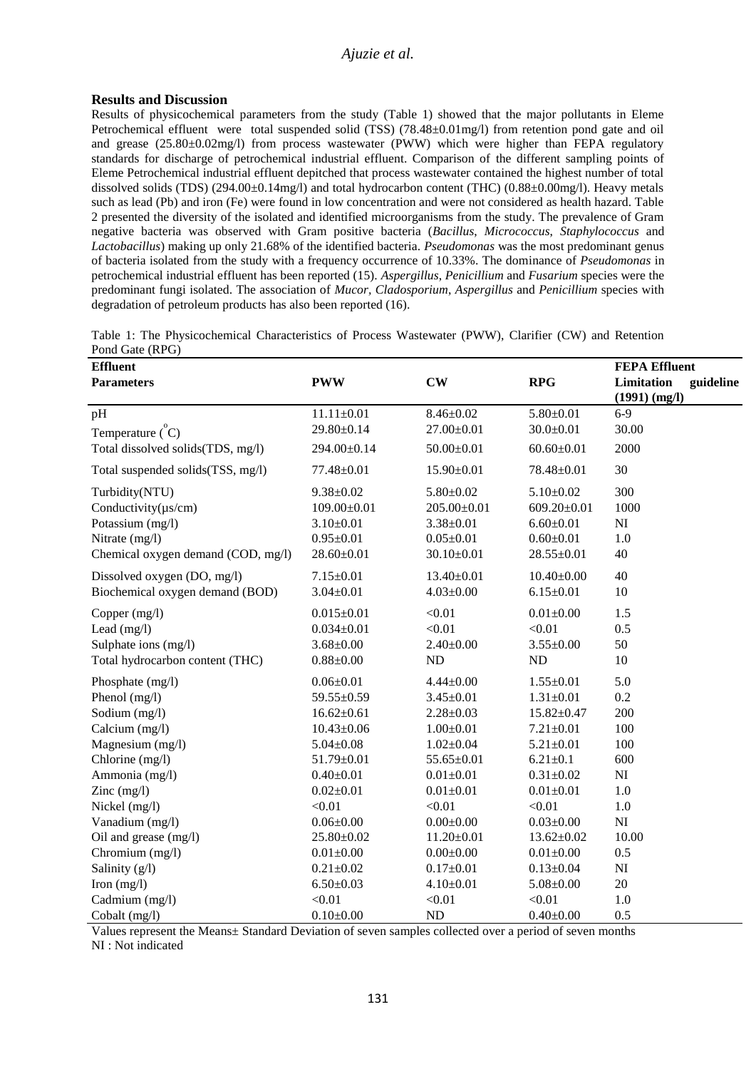# **Results and Discussion**

Results of physicochemical parameters from the study (Table 1) showed that the major pollutants in Eleme Petrochemical effluent were total suspended solid (TSS) (78.48±0.01mg/l) from retention pond gate and oil and grease (25.80±0.02mg/l) from process wastewater (PWW) which were higher than FEPA regulatory standards for discharge of petrochemical industrial effluent. Comparison of the different sampling points of Eleme Petrochemical industrial effluent depitched that process wastewater contained the highest number of total dissolved solids (TDS) (294.00±0.14mg/l) and total hydrocarbon content (THC) (0.88±0.00mg/l). Heavy metals such as lead (Pb) and iron (Fe) were found in low concentration and were not considered as health hazard. Table 2 presented the diversity of the isolated and identified microorganisms from the study. The prevalence of Gram negative bacteria was observed with Gram positive bacteria (*Bacillus*, *Micrococcus*, *Staphylococcus* and *Lactobacillus*) making up only 21.68% of the identified bacteria. *Pseudomonas* was the most predominant genus of bacteria isolated from the study with a frequency occurrence of 10.33%. The dominance of *Pseudomonas* in petrochemical industrial effluent has been reported (15). *Aspergillus*, *Penicillium* and *Fusarium* species were the predominant fungi isolated. The association of *Mucor, Cladosporium*, *Aspergillus* and *Penicillium* species with degradation of petroleum products has also been reported (16).

| $1$ ond only $(1)$                                      |                   |                   |                   |                                                 |
|---------------------------------------------------------|-------------------|-------------------|-------------------|-------------------------------------------------|
| <b>Effluent</b><br><b>Parameters</b>                    | <b>PWW</b>        | $\mathbf{CW}$     | <b>RPG</b>        | <b>FEPA Effluent</b><br>Limitation<br>guideline |
|                                                         |                   |                   |                   | $(1991)$ (mg/l)                                 |
| pH                                                      | $11.11 \pm 0.01$  | $8.46 \pm 0.02$   | $5.80 \pm 0.01$   | $6-9$                                           |
| Temperature $\zeta$ <sup><math>\zeta</math></sup> $C$ ) | 29.80±0.14        | 27.00±0.01        | $30.0 \pm 0.01$   | 30.00                                           |
| Total dissolved solids(TDS, mg/l)                       | 294.00±0.14       | $50.00 \pm 0.01$  | $60.60 \pm 0.01$  | 2000                                            |
| Total suspended solids(TSS, mg/l)                       | $77.48 \pm 0.01$  | $15.90 \pm 0.01$  | 78.48±0.01        | 30                                              |
| Turbidity(NTU)                                          | $9.38 \pm 0.02$   | $5.80 \pm 0.02$   | $5.10 \pm 0.02$   | 300                                             |
| Conductivity $(\mu s/cm)$                               | $109.00 \pm 0.01$ | $205.00 \pm 0.01$ | $609.20 \pm 0.01$ | 1000                                            |
| Potassium (mg/l)                                        | $3.10 \pm 0.01$   | $3.38 \pm 0.01$   | $6.60 \pm 0.01$   | NI                                              |
| Nitrate (mg/l)                                          | $0.95 \pm 0.01$   | $0.05 \pm 0.01$   | $0.60 \pm 0.01$   | 1.0                                             |
| Chemical oxygen demand (COD, mg/l)                      | $28.60 \pm 0.01$  | $30.10 \pm 0.01$  | $28.55 \pm 0.01$  | 40                                              |
| Dissolved oxygen (DO, mg/l)                             | $7.15 \pm 0.01$   | $13.40 \pm 0.01$  | $10.40 \pm 0.00$  | 40                                              |
| Biochemical oxygen demand (BOD)                         | $3.04 \pm 0.01$   | $4.03 \pm 0.00$   | $6.15 \pm 0.01$   | 10                                              |
| Copper (mg/l)                                           | $0.015 \pm 0.01$  | < 0.01            | $0.01 \pm 0.00$   | 1.5                                             |
| Lead $(mg/l)$                                           | $0.034 \pm 0.01$  | < 0.01            | < 0.01            | 0.5                                             |
| Sulphate ions (mg/l)                                    | $3.68 \pm 0.00$   | $2.40 \pm 0.00$   | $3.55 \pm 0.00$   | 50                                              |
| Total hydrocarbon content (THC)                         | $0.88 \pm 0.00$   | ND                | ND                | 10                                              |
| Phosphate (mg/l)                                        | $0.06 \pm 0.01$   | $4.44 \pm 0.00$   | $1.55 \pm 0.01$   | 5.0                                             |
| Phenol (mg/l)                                           | 59.55±0.59        | $3.45 \pm 0.01$   | $1.31 \pm 0.01$   | 0.2                                             |
| Sodium (mg/l)                                           | $16.62 \pm 0.61$  | $2.28 \pm 0.03$   | $15.82 \pm 0.47$  | 200                                             |
| Calcium (mg/l)                                          | $10.43 \pm 0.06$  | $1.00 \pm 0.01$   | $7.21 \pm 0.01$   | 100                                             |
| Magnesium (mg/l)                                        | $5.04 \pm 0.08$   | $1.02 \pm 0.04$   | $5.21 \pm 0.01$   | 100                                             |
| Chlorine (mg/l)                                         | $51.79 \pm 0.01$  | 55.65±0.01        | $6.21 \pm 0.1$    | 600                                             |
| Ammonia (mg/l)                                          | $0.40 \pm 0.01$   | $0.01 \pm 0.01$   | $0.31 \pm 0.02$   | $\mathbf{N}\mathbf{I}$                          |
| Zinc $(mg/l)$                                           | $0.02 \pm 0.01$   | $0.01 \pm 0.01$   | $0.01 \pm 0.01$   | 1.0                                             |
| Nickel (mg/l)                                           | < 0.01            | < 0.01            | < 0.01            | 1.0                                             |
| Vanadium (mg/l)                                         | $0.06 \pm 0.00$   | $0.00 \pm 0.00$   | $0.03 \pm 0.00$   | NI                                              |
| Oil and grease (mg/l)                                   | 25.80±0.02        | $11.20 \pm 0.01$  | $13.62 \pm 0.02$  | 10.00                                           |
| Chromium (mg/l)                                         | $0.01 \pm 0.00$   | $0.00 \pm 0.00$   | $0.01 \pm 0.00$   | 0.5                                             |
| Salinity (g/l)                                          | $0.21 \pm 0.02$   | $0.17 \pm 0.01$   | $0.13 \pm 0.04$   | NI                                              |
| Iron $(mg/l)$                                           | $6.50 \pm 0.03$   | $4.10 \pm 0.01$   | $5.08 \pm 0.00$   | 20                                              |
| Cadmium (mg/l)                                          | < 0.01            | < 0.01            | < 0.01            | 1.0                                             |
| Cobalt (mg/l)                                           | $0.10\pm0.00$     | ND                | $0.40 + 0.00$     | 0.5                                             |

Table 1: The Physicochemical Characteristics of Process Wastewater (PWW), Clarifier (CW) and Retention Pond Gate (RPG)

Values represent the Means± Standard Deviation of seven samples collected over a period of seven months NI : Not indicated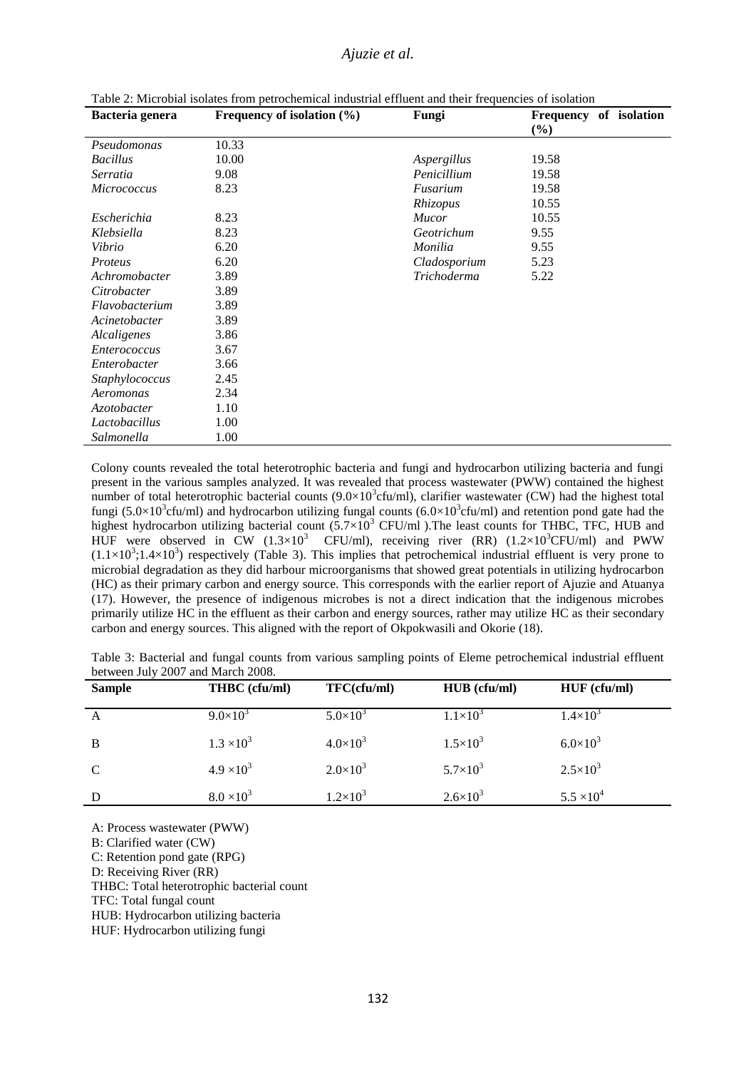| Bacteria genera     | Frequency of isolation $(\% )$ | Fungi        | Frequency of isolation |
|---------------------|--------------------------------|--------------|------------------------|
|                     |                                |              | $(\%)$                 |
| Pseudomonas         | 10.33                          |              |                        |
| <b>Bacillus</b>     | 10.00                          | Aspergillus  | 19.58                  |
| Serratia            | 9.08                           | Penicillium  | 19.58                  |
| Micrococcus         | 8.23                           | Fusarium     | 19.58                  |
|                     |                                | Rhizopus     | 10.55                  |
| Escherichia         | 8.23                           | Mucor        | 10.55                  |
| Klebsiella          | 8.23                           | Geotrichum   | 9.55                   |
| Vibrio              | 6.20                           | Monilia      | 9.55                   |
| Proteus             | 6.20                           | Cladosporium | 5.23                   |
| Achromobacter       | 3.89                           | Trichoderma  | 5.22                   |
| Citrobacter         | 3.89                           |              |                        |
| Flavobacterium      | 3.89                           |              |                        |
| Acinetobacter       | 3.89                           |              |                        |
| Alcaligenes         | 3.86                           |              |                        |
| <i>Enterococcus</i> | 3.67                           |              |                        |
| Enterobacter        | 3.66                           |              |                        |
| Staphylococcus      | 2.45                           |              |                        |
| Aeromonas           | 2.34                           |              |                        |
| Azotobacter         | 1.10                           |              |                        |
| Lactobacillus       | 1.00                           |              |                        |
| Salmonella          | 1.00                           |              |                        |

Table 2: Microbial isolates from petrochemical industrial effluent and their frequencies of isolation

Colony counts revealed the total heterotrophic bacteria and fungi and hydrocarbon utilizing bacteria and fungi present in the various samples analyzed. It was revealed that process wastewater (PWW) contained the highest number of total heterotrophic bacterial counts  $(9.0 \times 10^3$ cfu/ml), clarifier wastewater (CW) had the highest total fungi (5.0×10<sup>3</sup>cfu/ml) and hydrocarbon utilizing fungal counts (6.0×10<sup>3</sup>cfu/ml) and retention pond gate had the highest hydrocarbon utilizing bacterial count  $(5.7\times10^3$  CFU/ml). The least counts for THBC, TFC, HUB and HUF were observed in  $CW$  (1.3×10<sup>3</sup> CFU/ml), receiving river (RR) (1.2×10<sup>3</sup>CFU/ml) and PWW  $(1.1\times10^3;1.4\times10^3)$  respectively (Table 3). This implies that petrochemical industrial effluent is very prone to microbial degradation as they did harbour microorganisms that showed great potentials in utilizing hydrocarbon (HC) as their primary carbon and energy source. This corresponds with the earlier report of Ajuzie and Atuanya (17). However, the presence of indigenous microbes is not a direct indication that the indigenous microbes primarily utilize HC in the effluent as their carbon and energy sources, rather may utilize HC as their secondary carbon and energy sources. This aligned with the report of Okpokwasili and Okorie (18).

| Table 3: Bacterial and fungal counts from various sampling points of Eleme petrochemical industrial effluent |  |  |  |  |  |
|--------------------------------------------------------------------------------------------------------------|--|--|--|--|--|
| between July 2007 and March 2008.                                                                            |  |  |  |  |  |

| <b>Sample</b> | THBC (cfu/ml)       | TFC(cfu/ml)         | HUB (cfu/ml)        | $HUF$ (cfu/ml)      |
|---------------|---------------------|---------------------|---------------------|---------------------|
| A             | $9.0\times10^{3}$   | $5.0 \times 10^{3}$ | $1.1 \times 10^{3}$ | $1.4 \times 10^{3}$ |
| B             | $1.3 \times 10^{3}$ | $4.0\times10^{3}$   | $1.5 \times 10^{3}$ | $6.0\times10^{3}$   |
| $\mathbf C$   | $4.9 \times 10^{3}$ | $2.0 \times 10^3$   | $5.7 \times 10^{3}$ | $2.5 \times 10^{3}$ |
| D             | $8.0 \times 10^{3}$ | $1.2\times10^{3}$   | $2.6 \times 10^{3}$ | $5.5 \times 10^{4}$ |

A: Process wastewater (PWW)

B: Clarified water (CW)

C: Retention pond gate (RPG)

D: Receiving River (RR)

THBC: Total heterotrophic bacterial count

TFC: Total fungal count

HUB: Hydrocarbon utilizing bacteria

HUF: Hydrocarbon utilizing fungi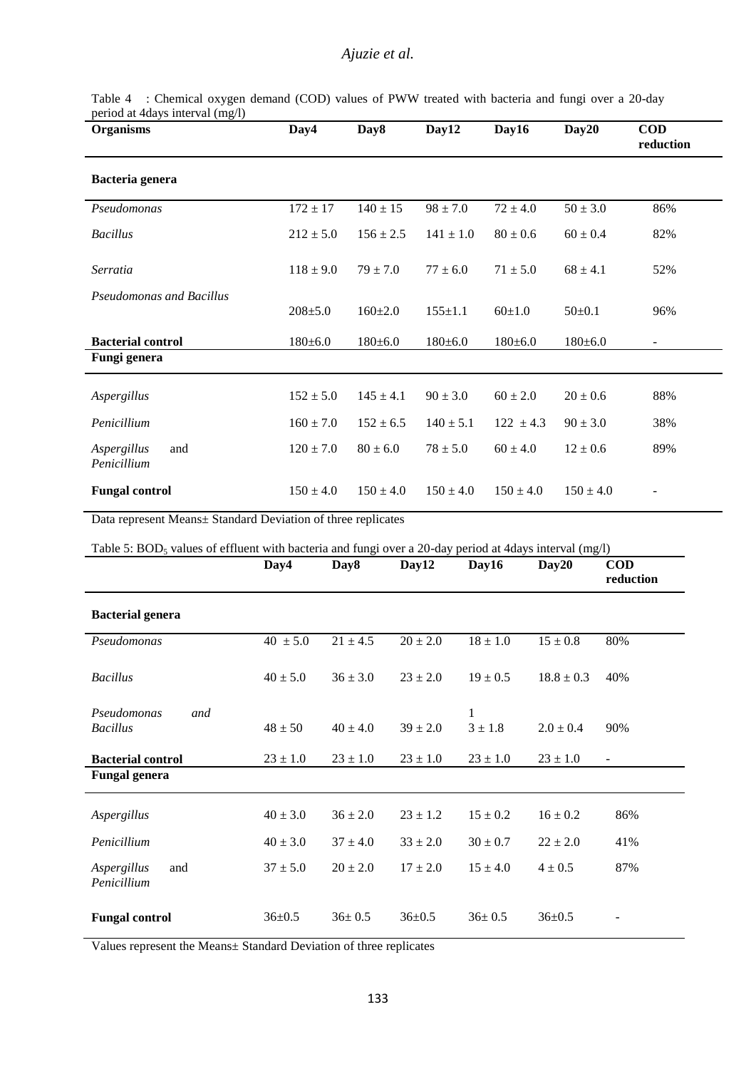| <b>Organisms</b>                  | Day4          | Day8          | Day12         | Day16         | Day20         | <b>COD</b><br>reduction  |
|-----------------------------------|---------------|---------------|---------------|---------------|---------------|--------------------------|
| Bacteria genera                   |               |               |               |               |               |                          |
| Pseudomonas                       | $172 \pm 17$  | $140 \pm 15$  | $98 \pm 7.0$  | $72 \pm 4.0$  | $50 \pm 3.0$  | 86%                      |
| <b>Bacillus</b>                   | $212 \pm 5.0$ | $156 \pm 2.5$ | $141 \pm 1.0$ | $80 \pm 0.6$  | $60 \pm 0.4$  | 82%                      |
| Serratia                          | $118 \pm 9.0$ | $79 \pm 7.0$  | $77 \pm 6.0$  | $71 \pm 5.0$  | $68 \pm 4.1$  | 52%                      |
| <b>Pseudomonas and Bacillus</b>   | $208 + 5.0$   | $160 \pm 2.0$ | $155+1.1$     | $60+1.0$      | $50+0.1$      | 96%                      |
| <b>Bacterial control</b>          | $180 \pm 6.0$ | $180 \pm 6.0$ | $180 \pm 6.0$ | $180 \pm 6.0$ | $180 \pm 6.0$ | $\overline{\phantom{a}}$ |
| Fungi genera                      |               |               |               |               |               |                          |
| Aspergillus                       | $152 \pm 5.0$ | $145 \pm 4.1$ | $90 \pm 3.0$  | $60 \pm 2.0$  | $20 \pm 0.6$  | 88%                      |
| Penicillium                       | $160 \pm 7.0$ | $152 \pm 6.5$ | $140 \pm 5.1$ | $122 \pm 4.3$ | $90 \pm 3.0$  | 38%                      |
| Aspergillus<br>and<br>Penicillium | $120 \pm 7.0$ | $80 \pm 6.0$  | $78 \pm 5.0$  | $60 \pm 4.0$  | $12 \pm 0.6$  | 89%                      |
| <b>Fungal control</b>             | $150 \pm 4.0$ | $150 \pm 4.0$ | $150 \pm 4.0$ | $150 \pm 4.0$ | $150 \pm 4.0$ |                          |

Table 4 : Chemical oxygen demand (COD) values of PWW treated with bacteria and fungi over a 20-day period at 4days interval (mg/l)

Data represent Means± Standard Deviation of three replicates

Table 5: BOD<sub>5</sub> values of effluent with bacteria and fungi over a 20-day period at 4days interval (mg/l)

|                                       | Day4         | Day8         | Day12        | Day16            | Day20          | <b>COD</b><br>reduction  |
|---------------------------------------|--------------|--------------|--------------|------------------|----------------|--------------------------|
| <b>Bacterial genera</b>               |              |              |              |                  |                |                          |
| Pseudomonas                           | $40 \pm 5.0$ | $21 \pm 4.5$ | $20 \pm 2.0$ | $18 \pm 1.0$     | $15 \pm 0.8$   | 80%                      |
| <b>Bacillus</b>                       | $40 \pm 5.0$ | $36 \pm 3.0$ | $23 \pm 2.0$ | $19 \pm 0.5$     | $18.8 \pm 0.3$ | 40%                      |
| Pseudomonas<br>and<br><b>Bacillus</b> | $48 \pm 50$  | $40 \pm 4.0$ | $39 \pm 2.0$ | 1<br>$3 \pm 1.8$ | $2.0 \pm 0.4$  | 90%                      |
| <b>Bacterial control</b>              | $23 \pm 1.0$ | $23 \pm 1.0$ | $23 \pm 1.0$ | $23 \pm 1.0$     | $23 \pm 1.0$   | $\overline{\phantom{a}}$ |
| <b>Fungal genera</b>                  |              |              |              |                  |                |                          |
| Aspergillus                           | $40 \pm 3.0$ | $36 \pm 2.0$ | $23 \pm 1.2$ | $15 \pm 0.2$     | $16 \pm 0.2$   | 86%                      |
| Penicillium                           | $40 \pm 3.0$ | $37 \pm 4.0$ | $33 \pm 2.0$ | $30 \pm 0.7$     | $22 \pm 2.0$   | 41%                      |
| Aspergillus<br>and<br>Penicillium     | $37 \pm 5.0$ | $20 \pm 2.0$ | $17 \pm 2.0$ | $15 \pm 4.0$     | $4 \pm 0.5$    | 87%                      |
| <b>Fungal control</b>                 | $36 \pm 0.5$ | $36 \pm 0.5$ | $36 \pm 0.5$ | $36 \pm 0.5$     | $36 \pm 0.5$   |                          |

Values represent the Means± Standard Deviation of three replicates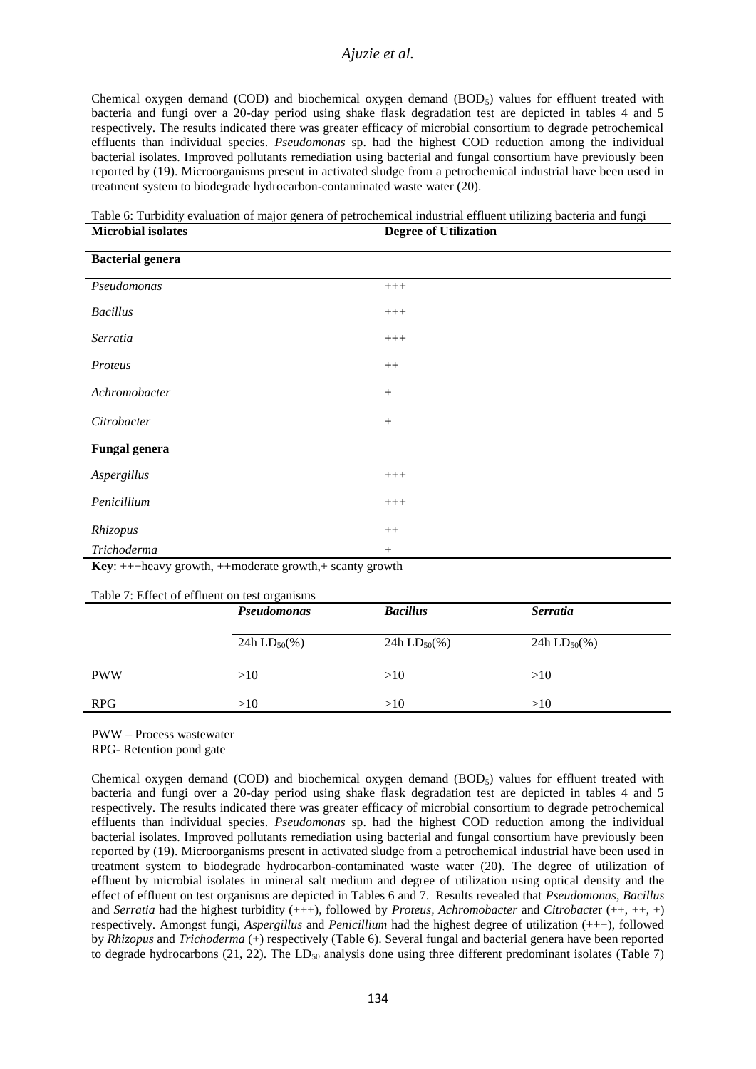Chemical oxygen demand (COD) and biochemical oxygen demand  $(BOD<sub>5</sub>)$  values for effluent treated with bacteria and fungi over a 20-day period using shake flask degradation test are depicted in tables 4 and 5 respectively. The results indicated there was greater efficacy of microbial consortium to degrade petrochemical effluents than individual species. *Pseudomonas* sp. had the highest COD reduction among the individual bacterial isolates. Improved pollutants remediation using bacterial and fungal consortium have previously been reported by (19). Microorganisms present in activated sludge from a petrochemical industrial have been used in treatment system to biodegrade hydrocarbon-contaminated waste water (20).

Table 6: Turbidity evaluation of major genera of petrochemical industrial effluent utilizing bacteria and fungi **Microbial isolates Degree of Utilization**

| <b>Bacterial genera</b>                                                                     |                  |  |  |  |  |
|---------------------------------------------------------------------------------------------|------------------|--|--|--|--|
|                                                                                             |                  |  |  |  |  |
| Pseudomonas                                                                                 | $+++$            |  |  |  |  |
| <b>Bacillus</b>                                                                             | $^{+++}$         |  |  |  |  |
|                                                                                             |                  |  |  |  |  |
| Serratia                                                                                    | $^{+++}$         |  |  |  |  |
|                                                                                             |                  |  |  |  |  |
| Proteus                                                                                     | $++$             |  |  |  |  |
| Achromobacter                                                                               | $\boldsymbol{+}$ |  |  |  |  |
|                                                                                             |                  |  |  |  |  |
| Citrobacter                                                                                 | $\boldsymbol{+}$ |  |  |  |  |
|                                                                                             |                  |  |  |  |  |
| <b>Fungal genera</b>                                                                        |                  |  |  |  |  |
|                                                                                             |                  |  |  |  |  |
| Aspergillus                                                                                 | $+++$            |  |  |  |  |
| Penicillium                                                                                 | $+++$            |  |  |  |  |
|                                                                                             |                  |  |  |  |  |
| Rhizopus                                                                                    | $++$             |  |  |  |  |
| Trichoderma                                                                                 | $^{+}$           |  |  |  |  |
| $\mathbf{K}$ and the largest properties that denote a month the coordinate and $\mathbf{K}$ |                  |  |  |  |  |

**Key**: +++heavy growth, ++moderate growth,+ scanty growth

Table 7: Effect of effluent on test organisms

|            | Pseudomonas                  | <b>Bacillus</b>   | <i>Serratia</i>              |
|------------|------------------------------|-------------------|------------------------------|
|            | 24h LD <sub>50</sub> $(\% )$ | 24h $LD_{50}$ (%) | 24h LD <sub>50</sub> $(\% )$ |
| <b>PWW</b> | >10                          | >10               | >10                          |
| <b>RPG</b> | >10                          | >10               | >10                          |

PWW – Process wastewater

Chemical oxygen demand (COD) and biochemical oxygen demand  $(BOD<sub>5</sub>)$  values for effluent treated with bacteria and fungi over a 20-day period using shake flask degradation test are depicted in tables 4 and 5 respectively. The results indicated there was greater efficacy of microbial consortium to degrade petrochemical effluents than individual species. *Pseudomonas* sp. had the highest COD reduction among the individual bacterial isolates. Improved pollutants remediation using bacterial and fungal consortium have previously been reported by (19). Microorganisms present in activated sludge from a petrochemical industrial have been used in treatment system to biodegrade hydrocarbon-contaminated waste water (20). The degree of utilization of effluent by microbial isolates in mineral salt medium and degree of utilization using optical density and the effect of effluent on test organisms are depicted in Tables 6 and 7. Results revealed that *Pseudomonas*, *Bacillus* and *Serratia* had the highest turbidity (+++), followed by *Proteus, Achromobacter* and *Citrobacte*r (++, ++, +) respectively. Amongst fungi, *Aspergillus* and *Penicillium* had the highest degree of utilization (+++), followed by *Rhizopus* and *Trichoderma* (+) respectively (Table 6). Several fungal and bacterial genera have been reported to degrade hydrocarbons (21, 22). The  $LD_{50}$  analysis done using three different predominant isolates (Table 7)

RPG- Retention pond gate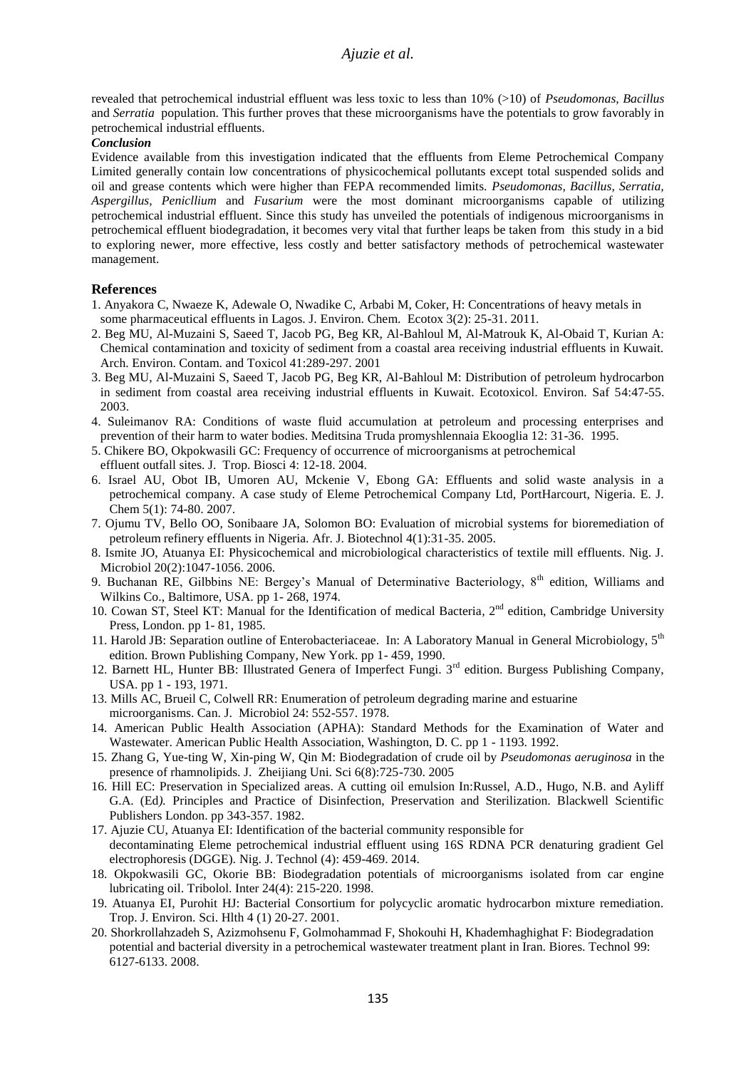revealed that petrochemical industrial effluent was less toxic to less than 10% (>10) of *Pseudomonas, Bacillus* and *Serratia* population. This further proves that these microorganisms have the potentials to grow favorably in petrochemical industrial effluents.

### *Conclusion*

Evidence available from this investigation indicated that the effluents from Eleme Petrochemical Company Limited generally contain low concentrations of physicochemical pollutants except total suspended solids and oil and grease contents which were higher than FEPA recommended limits. *Pseudomonas, Bacillus, Serratia, Aspergillus, Penicllium* and *Fusarium* were the most dominant microorganisms capable of utilizing petrochemical industrial effluent. Since this study has unveiled the potentials of indigenous microorganisms in petrochemical effluent biodegradation, it becomes very vital that further leaps be taken from this study in a bid to exploring newer, more effective, less costly and better satisfactory methods of petrochemical wastewater management.

### **References**

- 1. Anyakora C, Nwaeze K, Adewale O, Nwadike C, Arbabi M, Coker, H: Concentrations of heavy metals in some pharmaceutical effluents in Lagos. J. Environ. Chem. Ecotox 3(2): 25-31. 2011.
- 2. Beg MU, Al-Muzaini S, Saeed T, Jacob PG, Beg KR, Al-Bahloul M, Al-Matrouk K, Al-Obaid T, Kurian A: Chemical contamination and toxicity of sediment from a coastal area receiving industrial effluents in Kuwait. Arch. Environ. Contam. and Toxicol 41:289-297. 2001
- 3. Beg MU, Al-Muzaini S, Saeed T, Jacob PG, Beg KR, Al-Bahloul M: Distribution of petroleum hydrocarbon in sediment from coastal area receiving industrial effluents in Kuwait. Ecotoxicol. Environ. Saf 54:47-55. 2003.
- 4. Suleimanov RA: Conditions of waste fluid accumulation at petroleum and processing enterprises and prevention of their harm to water bodies. Meditsina Truda promyshlennaia Ekooglia 12: 31-36. 1995.
- 5. Chikere BO, Okpokwasili GC: Frequency of occurrence of microorganisms at petrochemical effluent outfall sites. J. Trop. Biosci 4: 12-18. 2004.
- 6. Israel AU, Obot IB, Umoren AU, Mckenie V, Ebong GA: Effluents and solid waste analysis in a petrochemical company. A case study of Eleme Petrochemical Company Ltd, PortHarcourt, Nigeria. E. J. Chem 5(1): 74-80. 2007.
- 7. Ojumu TV, Bello OO, Sonibaare JA, Solomon BO: Evaluation of microbial systems for bioremediation of petroleum refinery effluents in Nigeria. Afr. J. Biotechnol 4(1):31-35. 2005.
- 8. Ismite JO, Atuanya EI: Physicochemical and microbiological characteristics of textile mill effluents. Nig. J. Microbiol 20(2):1047-1056. 2006.
- 9. Buchanan RE, Gilbbins NE: Bergey's Manual of Determinative Bacteriology, 8<sup>th</sup> edition, Williams and Wilkins Co., Baltimore, USA. pp 1- 268, 1974.
- 10. Cowan ST, Steel KT: Manual for the Identification of medical Bacteria, 2<sup>nd</sup> edition, Cambridge University Press, London. pp 1- 81, 1985.
- 11. Harold JB: Separation outline of Enterobacteriaceae. In: A Laboratory Manual in General Microbiology, 5<sup>th</sup> edition. Brown Publishing Company, New York. pp 1- 459, 1990.
- 12. Barnett HL, Hunter BB: Illustrated Genera of Imperfect Fungi. 3<sup>rd</sup> edition. Burgess Publishing Company, USA. pp 1 - 193, 1971.
- 13. Mills AC, Brueil C, Colwell RR: Enumeration of petroleum degrading marine and estuarine microorganisms. Can. J. Microbiol 24: 552-557. 1978.
- 14. American Public Health Association (APHA): Standard Methods for the Examination of Water and Wastewater. American Public Health Association, Washington, D. C. pp 1 - 1193. 1992.
- 15. Zhang G, Yue-ting W, Xin-ping W, Qin M: Biodegradation of crude oil by *Pseudomonas aeruginosa* in the presence of rhamnolipids. J. Zheijiang Uni. Sci 6(8):725-730. 2005
- 16. Hill EC: Preservation in Specialized areas. A cutting oil emulsion In:Russel, A.D., Hugo, N.B. and Ayliff G.A. (Ed*).* Principles and Practice of Disinfection, Preservation and Sterilization. Blackwell Scientific Publishers London. pp 343-357. 1982.
- 17. Ajuzie CU, Atuanya EI: Identification of the bacterial community responsible for decontaminating Eleme petrochemical industrial effluent using 16S RDNA PCR denaturing gradient Gel electrophoresis (DGGE)*.* Nig. J. Technol (4): 459-469. 2014.
- 18. Okpokwasili GC, Okorie BB: Biodegradation potentials of microorganisms isolated from car engine lubricating oil. Tribolol. Inter 24(4): 215-220. 1998.
- 19. Atuanya EI, Purohit HJ: Bacterial Consortium for polycyclic aromatic hydrocarbon mixture remediation. Trop. J. Environ. Sci. Hlth 4 (1) 20-27. 2001.
- 20. Shorkrollahzadeh S, Azizmohsenu F, Golmohammad F, Shokouhi H, Khademhaghighat F: Biodegradation potential and bacterial diversity in a petrochemical wastewater treatment plant in Iran. Biores. Technol 99: 6127-6133. 2008.